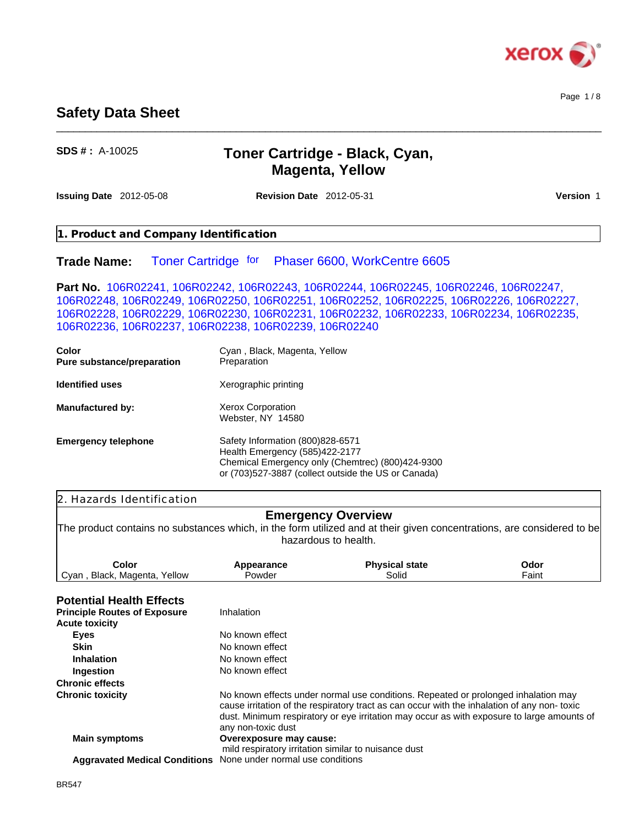

Page 1 / 8

# **Safety Data Sheet**

**SDS # :** A-10025

# **Toner Cartridge - Black, Cyan, Magenta, Yellow**

**Issuing Date** 2012-05-08 **Revision Date** 2012-05-31 **Version** 1

\_\_\_\_\_\_\_\_\_\_\_\_\_\_\_\_\_\_\_\_\_\_\_\_\_\_\_\_\_\_\_\_\_\_\_\_\_\_\_\_\_\_\_\_\_\_\_\_\_\_\_\_\_\_\_\_\_\_\_\_\_\_\_\_\_\_\_\_\_\_\_\_\_\_\_\_\_\_\_\_\_\_\_\_\_\_\_\_\_\_\_\_\_\_

|                                     | 1. Product and Company Identification                                                                                                                                                                                                                                                                                                |
|-------------------------------------|--------------------------------------------------------------------------------------------------------------------------------------------------------------------------------------------------------------------------------------------------------------------------------------------------------------------------------------|
| <b>Trade Name:</b>                  | Toner Cartridge for Phaser 6600, WorkCentre 6605                                                                                                                                                                                                                                                                                     |
|                                     | Part No. 106R02241, 106R02242, 106R02243, 106R02244, 106R02245, 106R02246, 106R02247,<br>106R02248, 106R02249, 106R02250, 106R02251, 106R02252, 106R02225, 106R02226, 106R02227,<br>106R02228, 106R02229, 106R02230, 106R02231, 106R02232, 106R02233, 106R02234, 106R02235,<br>106R02236, 106R02237, 106R02238, 106R02239, 106R02240 |
| Color<br>Pure substance/preparation | Cyan, Black, Magenta, Yellow<br>Preparation                                                                                                                                                                                                                                                                                          |
| <b>Identified uses</b>              | Xerographic printing                                                                                                                                                                                                                                                                                                                 |
| <b>Manufactured by:</b>             | Xerox Corporation<br>Webster, NY 14580                                                                                                                                                                                                                                                                                               |

**Emergency telephone** Safety Information (800)828-6571 Health Emergency (585)422-2177 Chemical Emergency only (Chemtrec) (800)424-9300 or (703)527-3887 (collect outside the US or Canada)

# 2. Hazards Identification

#### **Emergency Overview**

The product contains no substances which, in the form utilized and at their given concentrations, are considered to be hazardous to health.

| Color                             | Appearance | <b>Physical state</b> | Odor                          |
|-----------------------------------|------------|-----------------------|-------------------------------|
| Cyan<br>Yellow<br>Black. Magenta. | Powder     | Solid                 | $\overline{\phantom{a}}$ aint |
|                                   |            |                       |                               |

### **Potential Health Effects**

| . VW.IWA 11VANI ENVYG               |                                                                                                                                                                                                                                                                                                       |
|-------------------------------------|-------------------------------------------------------------------------------------------------------------------------------------------------------------------------------------------------------------------------------------------------------------------------------------------------------|
| <b>Principle Routes of Exposure</b> | Inhalation                                                                                                                                                                                                                                                                                            |
| <b>Acute toxicity</b>               |                                                                                                                                                                                                                                                                                                       |
| Eyes                                | No known effect                                                                                                                                                                                                                                                                                       |
| <b>Skin</b>                         | No known effect                                                                                                                                                                                                                                                                                       |
| <b>Inhalation</b>                   | No known effect                                                                                                                                                                                                                                                                                       |
| Ingestion                           | No known effect                                                                                                                                                                                                                                                                                       |
| <b>Chronic effects</b>              |                                                                                                                                                                                                                                                                                                       |
| <b>Chronic toxicity</b>             | No known effects under normal use conditions. Repeated or prolonged inhalation may<br>cause irritation of the respiratory tract as can occur with the inhalation of any non-toxic<br>dust. Minimum respiratory or eye irritation may occur as with exposure to large amounts of<br>any non-toxic dust |
| <b>Main symptoms</b>                | Overexposure may cause:<br>mild respiratory irritation similar to nuisance dust                                                                                                                                                                                                                       |
|                                     | <b>Aggravated Medical Conditions</b> None under normal use conditions                                                                                                                                                                                                                                 |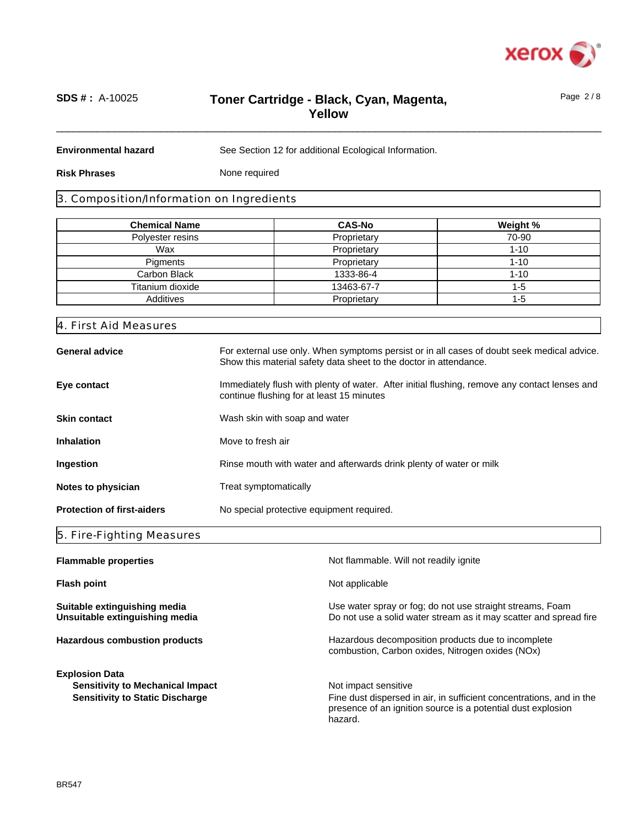

Page 2 / 8

# \_\_\_\_\_\_\_\_\_\_\_\_\_\_\_\_\_\_\_\_\_\_\_\_\_\_\_\_\_\_\_\_\_\_\_\_\_\_\_\_\_\_\_\_\_\_\_\_\_\_\_\_\_\_\_\_\_\_\_\_\_\_\_\_\_\_\_\_\_\_\_\_\_\_\_\_\_\_\_\_\_\_\_\_\_\_\_\_\_\_\_\_\_\_ **SDS # :** A-10025 **Toner Cartridge - Black, Cyan, Magenta, Yellow**

**Environmental hazard**

See Section 12 for additional Ecological Information.

**Risk Phrases**

None required

#### 3. Composition/Information on Ingredients

| <b>Chemical Name</b> | <b>CAS-No</b> | Weight % |
|----------------------|---------------|----------|
| Polyester resins     | Proprietary   | 70-90    |
| Wax                  | Proprietary   | $1 - 10$ |
| Pigments             | Proprietary   | $1 - 10$ |
| Carbon Black         | 1333-86-4     | $1 - 10$ |
| Titanium dioxide     | 13463-67-7    | $1 - 5$  |
| Additives            | Proprietary   | $1 - 5$  |

| 4. First Aid Measures             |                                                                                                                                                                 |
|-----------------------------------|-----------------------------------------------------------------------------------------------------------------------------------------------------------------|
| <b>General advice</b>             | For external use only. When symptoms persist or in all cases of doubt seek medical advice.<br>Show this material safety data sheet to the doctor in attendance. |
| Eye contact                       | Immediately flush with plenty of water. After initial flushing, remove any contact lenses and<br>continue flushing for at least 15 minutes                      |
| <b>Skin contact</b>               | Wash skin with soap and water                                                                                                                                   |
| <b>Inhalation</b>                 | Move to fresh air                                                                                                                                               |
| Ingestion                         | Rinse mouth with water and afterwards drink plenty of water or milk                                                                                             |
| Notes to physician                | Treat symptomatically                                                                                                                                           |
| <b>Protection of first-aiders</b> | No special protective equipment required.                                                                                                                       |
|                                   |                                                                                                                                                                 |

#### 5. Fire-Fighting Measures

| <b>Flammable properties</b>                                    | Not flammable. Will not readily ignite                                                                                                          |  |  |
|----------------------------------------------------------------|-------------------------------------------------------------------------------------------------------------------------------------------------|--|--|
| <b>Flash point</b>                                             | Not applicable                                                                                                                                  |  |  |
| Suitable extinguishing media<br>Unsuitable extinguishing media | Use water spray or fog; do not use straight streams, Foam<br>Do not use a solid water stream as it may scatter and spread fire                  |  |  |
| <b>Hazardous combustion products</b>                           | Hazardous decomposition products due to incomplete<br>combustion, Carbon oxides, Nitrogen oxides (NOx)                                          |  |  |
| <b>Explosion Data</b>                                          |                                                                                                                                                 |  |  |
| <b>Sensitivity to Mechanical Impact</b>                        | Not impact sensitive                                                                                                                            |  |  |
| <b>Sensitivity to Static Discharge</b>                         | Fine dust dispersed in air, in sufficient concentrations, and in the<br>presence of an ignition source is a potential dust explosion<br>hazard. |  |  |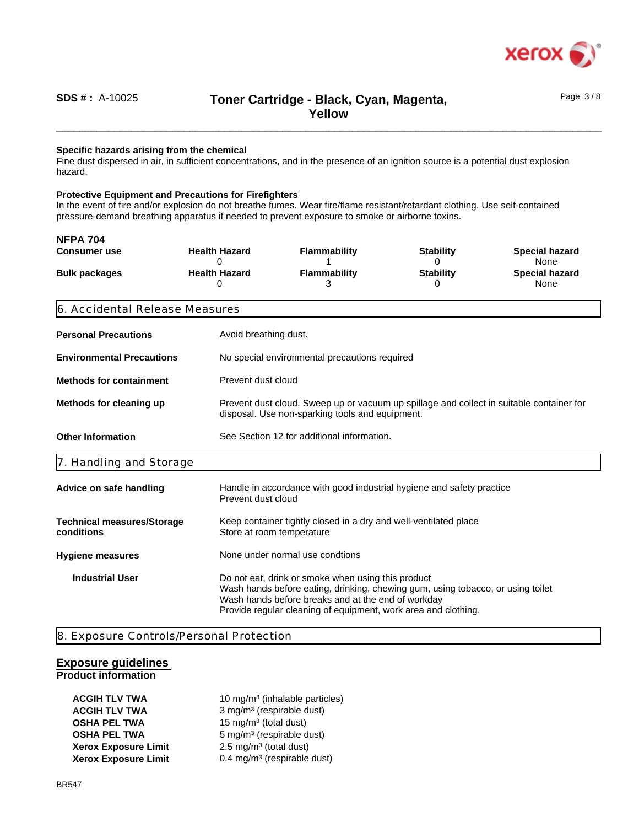

# \_\_\_\_\_\_\_\_\_\_\_\_\_\_\_\_\_\_\_\_\_\_\_\_\_\_\_\_\_\_\_\_\_\_\_\_\_\_\_\_\_\_\_\_\_\_\_\_\_\_\_\_\_\_\_\_\_\_\_\_\_\_\_\_\_\_\_\_\_\_\_\_\_\_\_\_\_\_\_\_\_\_\_\_\_\_\_\_\_\_\_\_\_\_ **Toner Cartridge - Black, Cyan, Magenta, SDS # :** A-10025 Page 3 / 8 **Yellow**

#### **Specific hazards arising from the chemical**

Fine dust dispersed in air, in sufficient concentrations, and in the presence of an ignition source is a potential dust explosion hazard.

#### **Protective Equipment and Precautions for Firefighters**

In the event of fire and/or explosion do not breathe fumes. Wear fire/flame resistant/retardant clothing. Use self-contained pressure-demand breathing apparatus if needed to prevent exposure to smoke or airborne toxins.

| <b>NFPA 704</b>                                                                                                                                                                                                                                                                         |  |                                                                                                                                             |                                                 |                                                |                                                                |  |
|-----------------------------------------------------------------------------------------------------------------------------------------------------------------------------------------------------------------------------------------------------------------------------------------|--|---------------------------------------------------------------------------------------------------------------------------------------------|-------------------------------------------------|------------------------------------------------|----------------------------------------------------------------|--|
| <b>Consumer use</b><br><b>Bulk packages</b>                                                                                                                                                                                                                                             |  | <b>Health Hazard</b><br>0<br><b>Health Hazard</b><br>0                                                                                      | <b>Flammability</b><br><b>Flammability</b><br>З | <b>Stability</b><br>0<br><b>Stability</b><br>0 | <b>Special hazard</b><br>None<br><b>Special hazard</b><br>None |  |
| 6. Accidental Release Measures                                                                                                                                                                                                                                                          |  |                                                                                                                                             |                                                 |                                                |                                                                |  |
| <b>Personal Precautions</b>                                                                                                                                                                                                                                                             |  | Avoid breathing dust.                                                                                                                       |                                                 |                                                |                                                                |  |
| <b>Environmental Precautions</b>                                                                                                                                                                                                                                                        |  | No special environmental precautions required                                                                                               |                                                 |                                                |                                                                |  |
| <b>Methods for containment</b>                                                                                                                                                                                                                                                          |  | Prevent dust cloud                                                                                                                          |                                                 |                                                |                                                                |  |
| Methods for cleaning up                                                                                                                                                                                                                                                                 |  | Prevent dust cloud. Sweep up or vacuum up spillage and collect in suitable container for<br>disposal. Use non-sparking tools and equipment. |                                                 |                                                |                                                                |  |
| <b>Other Information</b>                                                                                                                                                                                                                                                                |  | See Section 12 for additional information.                                                                                                  |                                                 |                                                |                                                                |  |
| 7. Handling and Storage                                                                                                                                                                                                                                                                 |  |                                                                                                                                             |                                                 |                                                |                                                                |  |
| Advice on safe handling                                                                                                                                                                                                                                                                 |  | Handle in accordance with good industrial hygiene and safety practice<br>Prevent dust cloud                                                 |                                                 |                                                |                                                                |  |
| <b>Technical measures/Storage</b><br>conditions                                                                                                                                                                                                                                         |  | Keep container tightly closed in a dry and well-ventilated place<br>Store at room temperature                                               |                                                 |                                                |                                                                |  |
| <b>Hygiene measures</b>                                                                                                                                                                                                                                                                 |  | None under normal use condtions                                                                                                             |                                                 |                                                |                                                                |  |
| Do not eat, drink or smoke when using this product<br><b>Industrial User</b><br>Wash hands before eating, drinking, chewing gum, using tobacco, or using toilet<br>Wash hands before breaks and at the end of workday<br>Provide regular cleaning of equipment, work area and clothing. |  |                                                                                                                                             |                                                 |                                                |                                                                |  |

8. Exposure Controls/Personal Protection

#### **Exposure guidelines Product information**

**ACGIH TLV TWA** 10 mg/m<sup>3</sup> (inhalable particles) **ACGIH TLV TWA** 3 mg/m<sup>3</sup> (respirable dust) **OSHA PEL TWA** 15 mg/m<sup>3</sup> (total dust) **OSHA PEL TWA** 5 mg/m<sup>3</sup> (respirable dust) **Xerox Exposure Limit**  $2.5 \text{ mg/m}^3$  (total dust) **Xerox Exposure Limit** 0.4 mg/m<sup>3</sup> (respirable dust)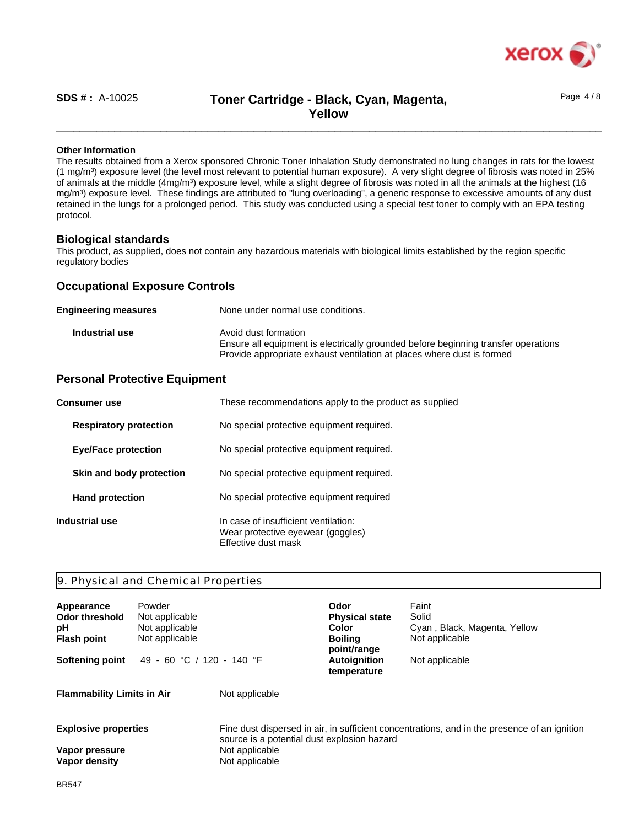

# \_\_\_\_\_\_\_\_\_\_\_\_\_\_\_\_\_\_\_\_\_\_\_\_\_\_\_\_\_\_\_\_\_\_\_\_\_\_\_\_\_\_\_\_\_\_\_\_\_\_\_\_\_\_\_\_\_\_\_\_\_\_\_\_\_\_\_\_\_\_\_\_\_\_\_\_\_\_\_\_\_\_\_\_\_\_\_\_\_\_\_\_\_\_ **SDS # :** A-10025 Page 4 / 8 **Toner Cartridge - Black, Cyan, Magenta, Yellow**

#### **Other Information**

The results obtained from a Xerox sponsored Chronic Toner Inhalation Study demonstrated no lung changes in rats for the lowest (1 mg/m<sup>3</sup> ) exposure level (the level most relevant to potential human exposure). A very slight degree of fibrosis was noted in 25% of animals at the middle (4mg/m<sup>3</sup>) exposure level, while a slight degree of fibrosis was noted in all the animals at the highest (16 mg/m<sup>3</sup> ) exposure level. These findings are attributed to "lung overloading", a generic response to excessive amounts of any dust retained in the lungs for a prolonged period. This study was conducted using a special test toner to comply with an EPA testing protocol.

#### **Biological standards**

This product, as supplied, does not contain any hazardous materials with biological limits established by the region specific regulatory bodies

#### **Occupational Exposure Controls**

| <b>Engineering measures</b> | None under normal use conditions.                                                                                                                                                    |
|-----------------------------|--------------------------------------------------------------------------------------------------------------------------------------------------------------------------------------|
| Industrial use              | Avoid dust formation<br>Ensure all equipment is electrically grounded before beginning transfer operations<br>Provide appropriate exhaust ventilation at places where dust is formed |

#### **Personal Protective Equipment**

| <b>Consumer</b> use           | These recommendations apply to the product as supplied                                           |
|-------------------------------|--------------------------------------------------------------------------------------------------|
| <b>Respiratory protection</b> | No special protective equipment required.                                                        |
| <b>Eye/Face protection</b>    | No special protective equipment required.                                                        |
| Skin and body protection      | No special protective equipment required.                                                        |
| <b>Hand protection</b>        | No special protective equipment required                                                         |
| Industrial use                | In case of insufficient ventilation:<br>Wear protective eyewear (goggles)<br>Effective dust mask |

#### 9. Physical and Chemical Properties

| Appearance<br><b>Odor threshold</b><br>рH<br><b>Flash point</b> | Powder<br>Not applicable<br>Not applicable<br>Not applicable<br>49 - 60 °C / 120 - 140 °F |                                             | Odor<br><b>Physical state</b><br><b>Color</b><br><b>Boiling</b><br>point/range | Faint<br>Solid<br>Cyan, Black, Magenta, Yellow<br>Not applicable                             |
|-----------------------------------------------------------------|-------------------------------------------------------------------------------------------|---------------------------------------------|--------------------------------------------------------------------------------|----------------------------------------------------------------------------------------------|
| <b>Softening point</b>                                          |                                                                                           |                                             | <b>Autoignition</b><br>temperature                                             | Not applicable                                                                               |
| <b>Flammability Limits in Air</b>                               |                                                                                           | Not applicable                              |                                                                                |                                                                                              |
| <b>Explosive properties</b>                                     |                                                                                           | source is a potential dust explosion hazard |                                                                                | Fine dust dispersed in air, in sufficient concentrations, and in the presence of an ignition |
| Vapor pressure<br>Vapor density                                 |                                                                                           | Not applicable<br>Not applicable            |                                                                                |                                                                                              |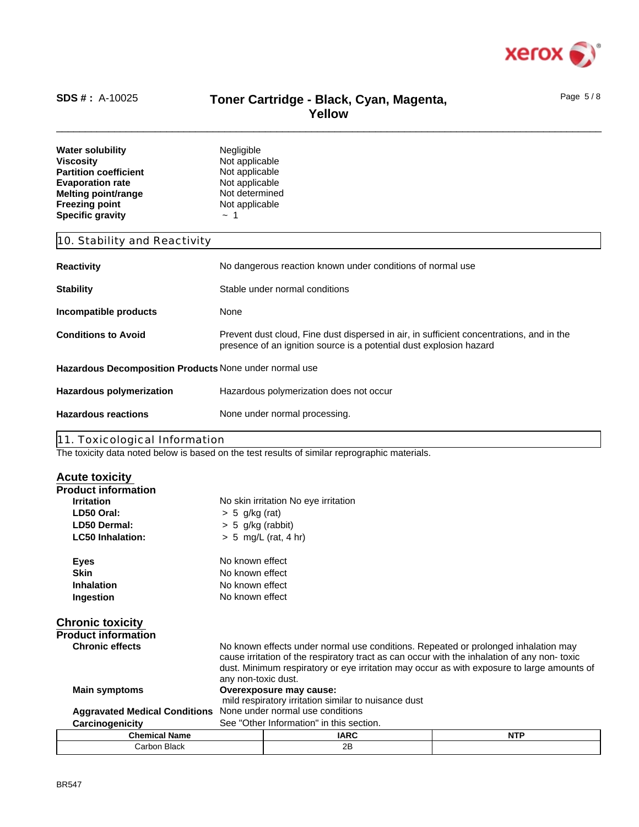

### \_\_\_\_\_\_\_\_\_\_\_\_\_\_\_\_\_\_\_\_\_\_\_\_\_\_\_\_\_\_\_\_\_\_\_\_\_\_\_\_\_\_\_\_\_\_\_\_\_\_\_\_\_\_\_\_\_\_\_\_\_\_\_\_\_\_\_\_\_\_\_\_\_\_\_\_\_\_\_\_\_\_\_\_\_\_\_\_\_\_\_\_\_\_ **Toner Cartridge - Black, Cyan, Magenta, Yellow SDS # :** A-10025 **Toner Cartridge - Black. Cvan. Magenta.** <sup>Page 5/8</sup>

| <b>Water solubility</b><br><b>Viscosity</b><br><b>Partition coefficient</b><br><b>Evaporation rate</b><br><b>Melting point/range</b><br><b>Freezing point</b><br><b>Specific gravity</b> | Negligible<br>Not applicable<br>Not applicable<br>Not applicable<br>Not determined<br>Not applicable<br>$\sim$ 1                                                |  |
|------------------------------------------------------------------------------------------------------------------------------------------------------------------------------------------|-----------------------------------------------------------------------------------------------------------------------------------------------------------------|--|
| 10. Stability and Reactivity                                                                                                                                                             |                                                                                                                                                                 |  |
| <b>Reactivity</b>                                                                                                                                                                        | No dangerous reaction known under conditions of normal use                                                                                                      |  |
| <b>Stability</b>                                                                                                                                                                         | Stable under normal conditions                                                                                                                                  |  |
| Incompatible products                                                                                                                                                                    | None                                                                                                                                                            |  |
| <b>Conditions to Avoid</b>                                                                                                                                                               | Prevent dust cloud, Fine dust dispersed in air, in sufficient concentrations, and in the<br>presence of an ignition source is a potential dust explosion hazard |  |
| Hazardous Decomposition Products None under normal use                                                                                                                                   |                                                                                                                                                                 |  |
| <b>Hazardous polymerization</b>                                                                                                                                                          | Hazardous polymerization does not occur                                                                                                                         |  |
| <b>Hazardous reactions</b>                                                                                                                                                               | None under normal processing.                                                                                                                                   |  |
| 11. Toxicological Information                                                                                                                                                            | The toxicity data noted below is based on the test results of similar reprographic materials                                                                    |  |

The toxicity data noted below is based on the test results of similar reprographic materials.

| <b>Acute toxicity</b>                           |                                                                                                                                                                                                                                                                                                        |                                                      |            |  |  |
|-------------------------------------------------|--------------------------------------------------------------------------------------------------------------------------------------------------------------------------------------------------------------------------------------------------------------------------------------------------------|------------------------------------------------------|------------|--|--|
| <b>Product information</b>                      |                                                                                                                                                                                                                                                                                                        |                                                      |            |  |  |
| <b>Irritation</b>                               |                                                                                                                                                                                                                                                                                                        | No skin irritation No eye irritation                 |            |  |  |
| LD50 Oral:                                      | $> 5$ g/kg (rat)                                                                                                                                                                                                                                                                                       |                                                      |            |  |  |
| LD50 Dermal:                                    | $> 5$ g/kg (rabbit)                                                                                                                                                                                                                                                                                    |                                                      |            |  |  |
| <b>LC50 Inhalation:</b>                         |                                                                                                                                                                                                                                                                                                        | $> 5$ mg/L (rat, 4 hr)                               |            |  |  |
| Eyes                                            | No known effect                                                                                                                                                                                                                                                                                        |                                                      |            |  |  |
| <b>Skin</b>                                     | No known effect                                                                                                                                                                                                                                                                                        |                                                      |            |  |  |
| <b>Inhalation</b>                               | No known effect                                                                                                                                                                                                                                                                                        |                                                      |            |  |  |
| Ingestion                                       | No known effect                                                                                                                                                                                                                                                                                        |                                                      |            |  |  |
| <b>Chronic toxicity</b>                         |                                                                                                                                                                                                                                                                                                        |                                                      |            |  |  |
| <b>Product information</b>                      |                                                                                                                                                                                                                                                                                                        |                                                      |            |  |  |
| <b>Chronic effects</b>                          | No known effects under normal use conditions. Repeated or prolonged inhalation may<br>cause irritation of the respiratory tract as can occur with the inhalation of any non-toxic<br>dust. Minimum respiratory or eye irritation may occur as with exposure to large amounts of<br>any non-toxic dust. |                                                      |            |  |  |
| <b>Main symptoms</b><br>Overexposure may cause: |                                                                                                                                                                                                                                                                                                        |                                                      |            |  |  |
|                                                 |                                                                                                                                                                                                                                                                                                        | mild respiratory irritation similar to nuisance dust |            |  |  |
| <b>Aggravated Medical Conditions</b>            | None under normal use conditions                                                                                                                                                                                                                                                                       |                                                      |            |  |  |
| Carcinogenicity                                 | See "Other Information" in this section.                                                                                                                                                                                                                                                               |                                                      |            |  |  |
| <b>Chemical Name</b>                            |                                                                                                                                                                                                                                                                                                        | <b>IARC</b>                                          | <b>NTP</b> |  |  |
| <b>Carbon Black</b>                             |                                                                                                                                                                                                                                                                                                        | 2B                                                   |            |  |  |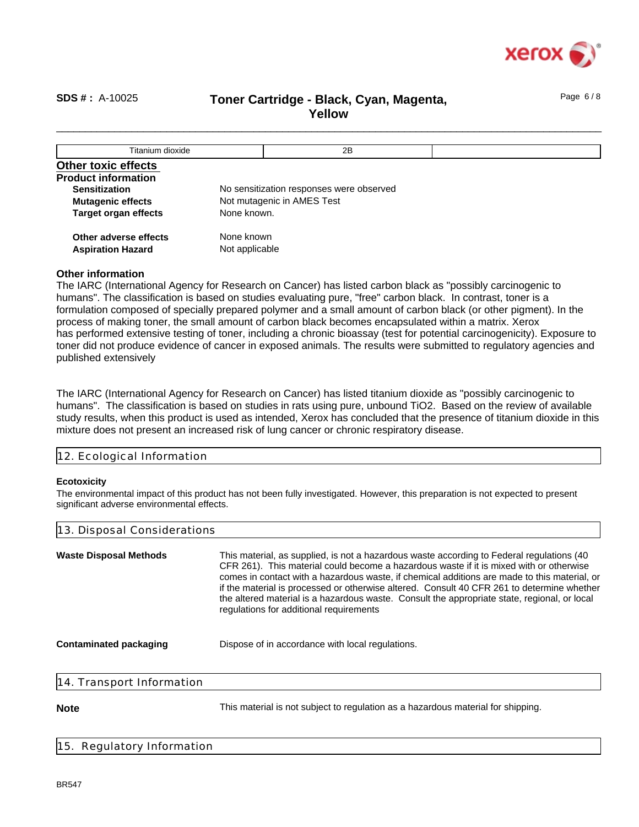

Page 6 / 8

### \_\_\_\_\_\_\_\_\_\_\_\_\_\_\_\_\_\_\_\_\_\_\_\_\_\_\_\_\_\_\_\_\_\_\_\_\_\_\_\_\_\_\_\_\_\_\_\_\_\_\_\_\_\_\_\_\_\_\_\_\_\_\_\_\_\_\_\_\_\_\_\_\_\_\_\_\_\_\_\_\_\_\_\_\_\_\_\_\_\_\_\_\_\_ **SDS # :** A-10025 **Toner Cartridge - Black, Cyan, Magenta, Yellow**

| Titanium dioxide            | 2B                                       |
|-----------------------------|------------------------------------------|
| <b>Other toxic effects</b>  |                                          |
| <b>Product information</b>  |                                          |
| <b>Sensitization</b>        | No sensitization responses were observed |
| <b>Mutagenic effects</b>    | Not mutagenic in AMES Test               |
| <b>Target organ effects</b> | None known.                              |
| Other adverse effects       | None known                               |
| <b>Aspiration Hazard</b>    | Not applicable                           |

#### **Other information**

The IARC (International Agency for Research on Cancer) has listed carbon black as "possibly carcinogenic to humans". The classification is based on studies evaluating pure, "free" carbon black. In contrast, toner is a formulation composed of specially prepared polymer and a small amount of carbon black (or other pigment). In the process of making toner, the small amount of carbon black becomes encapsulated within a matrix. Xerox has performed extensive testing of toner, including a chronic bioassay (test for potential carcinogenicity). Exposure to toner did not produce evidence of cancer in exposed animals. The results were submitted to regulatory agencies and published extensively

The IARC (International Agency for Research on Cancer) has listed titanium dioxide as "possibly carcinogenic to humans". The classification is based on studies in rats using pure, unbound TiO2. Based on the review of available study results, when this product is used as intended, Xerox has concluded that the presence of titanium dioxide in this mixture does not present an increased risk of lung cancer or chronic respiratory disease.

| ical<br>11 II VI<br>12.50000 |
|------------------------------|
|------------------------------|

#### **Ecotoxicity**

The environmental impact of this product has not been fully investigated. However, this preparation is not expected to present significant adverse environmental effects.

| 13. Disposal Considerations                                                                                                                                                                                                                                                                                                                                                                                                                                                                                                    |
|--------------------------------------------------------------------------------------------------------------------------------------------------------------------------------------------------------------------------------------------------------------------------------------------------------------------------------------------------------------------------------------------------------------------------------------------------------------------------------------------------------------------------------|
| This material, as supplied, is not a hazardous waste according to Federal regulations (40)<br>CFR 261). This material could become a hazardous waste if it is mixed with or otherwise<br>comes in contact with a hazardous waste, if chemical additions are made to this material, or<br>if the material is processed or otherwise altered. Consult 40 CFR 261 to determine whether<br>the altered material is a hazardous waste. Consult the appropriate state, regional, or local<br>regulations for additional requirements |
| Dispose of in accordance with local regulations.                                                                                                                                                                                                                                                                                                                                                                                                                                                                               |
|                                                                                                                                                                                                                                                                                                                                                                                                                                                                                                                                |
|                                                                                                                                                                                                                                                                                                                                                                                                                                                                                                                                |

**Note** This material is not subject to regulation as a hazardous material for shipping.

#### 15. Regulatory Information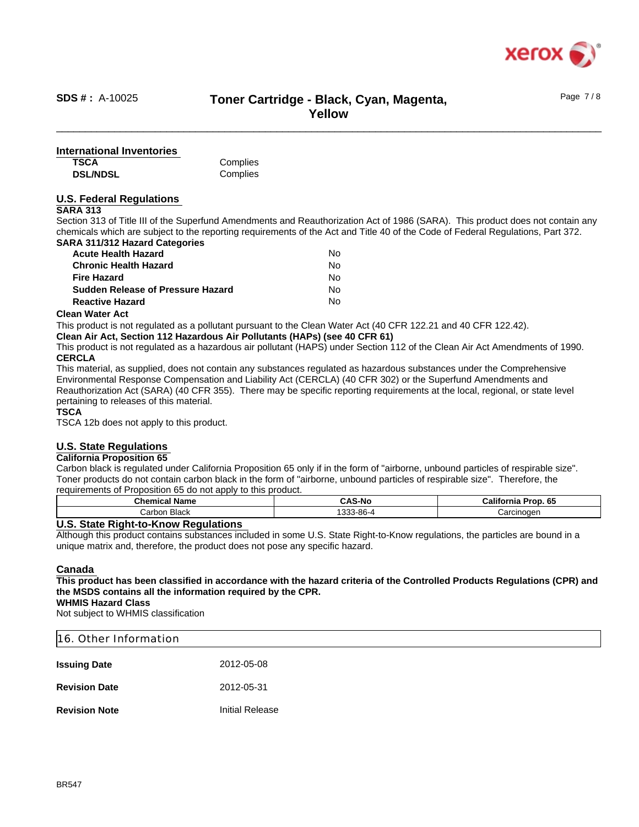

# \_\_\_\_\_\_\_\_\_\_\_\_\_\_\_\_\_\_\_\_\_\_\_\_\_\_\_\_\_\_\_\_\_\_\_\_\_\_\_\_\_\_\_\_\_\_\_\_\_\_\_\_\_\_\_\_\_\_\_\_\_\_\_\_\_\_\_\_\_\_\_\_\_\_\_\_\_\_\_\_\_\_\_\_\_\_\_\_\_\_\_\_\_\_ **Toner Cartridge - Black, Cyan, Magenta, SDS # :** A-10025 Page 7 / 8 **Yellow**

#### **TSCA International Inventories**

**DSL/NDSL**

**Complies Complies** 

#### **U.S. Federal Regulations**

#### **SARA 313**

Section 313 of Title III of the Superfund Amendments and Reauthorization Act of 1986 (SARA). This product does not contain any chemicals which are subject to the reporting requirements of the Act and Title 40 of the Code of Federal Regulations, Part 372. **SARA 311/312 Hazard Categories**

| <b>Acute Health Hazard</b>               | No |
|------------------------------------------|----|
| <b>Chronic Health Hazard</b>             | No |
| <b>Fire Hazard</b>                       | N٥ |
| <b>Sudden Release of Pressure Hazard</b> | No |
| <b>Reactive Hazard</b>                   | No |

#### **Clean Water Act**

This product is not regulated as a pollutant pursuant to the Clean Water Act (40 CFR 122.21 and 40 CFR 122.42).

**Clean Air Act, Section 112 Hazardous Air Pollutants (HAPs) (see 40 CFR 61)**

This product is not regulated as a hazardous air pollutant (HAPS) under Section 112 of the Clean Air Act Amendments of 1990. **CERCLA**

This material, as supplied, does not contain any substances regulated as hazardous substances under the Comprehensive Environmental Response Compensation and Liability Act (CERCLA) (40 CFR 302) or the Superfund Amendments and Reauthorization Act (SARA) (40 CFR 355). There may be specific reporting requirements at the local, regional, or state level pertaining to releases of this material.

#### **TSCA**

TSCA 12b does not apply to this product.

#### **U.S. State Regulations**

#### **California Proposition 65**

Carbon black is regulated under California Proposition 65 only if in the form of "airborne, unbound particles of respirable size". Toner products do not contain carbon black in the form of "airborne, unbound particles of respirable size". Therefore, the requirements of Proposition 65 do not apply to this product.

| <b>Chemical Name</b> | <b>CAS-No</b> | California<br><b>Prop. 65</b> |
|----------------------|---------------|-------------------------------|
| -<br>Carbon Black    | 1333-86-4     | Carcinoger                    |

#### **U.S. State Right-to-Know Regulations**

Although this product contains substances included in some U.S. State Right-to-Know regulations, the particles are bound in a unique matrix and, therefore, the product does not pose any specific hazard.

#### **Canada**

#### **This product has been classified in accordance with the hazard criteria of the Controlled Products Regulations (CPR) and the MSDS contains all the information required by the CPR.**

**WHMIS Hazard Class**

Not subject to WHMIS classification

# 16. Other Information **Issuing Date** 2012-05-08 **Revision Date** 2012-05-31

**Revision Note Initial Release**